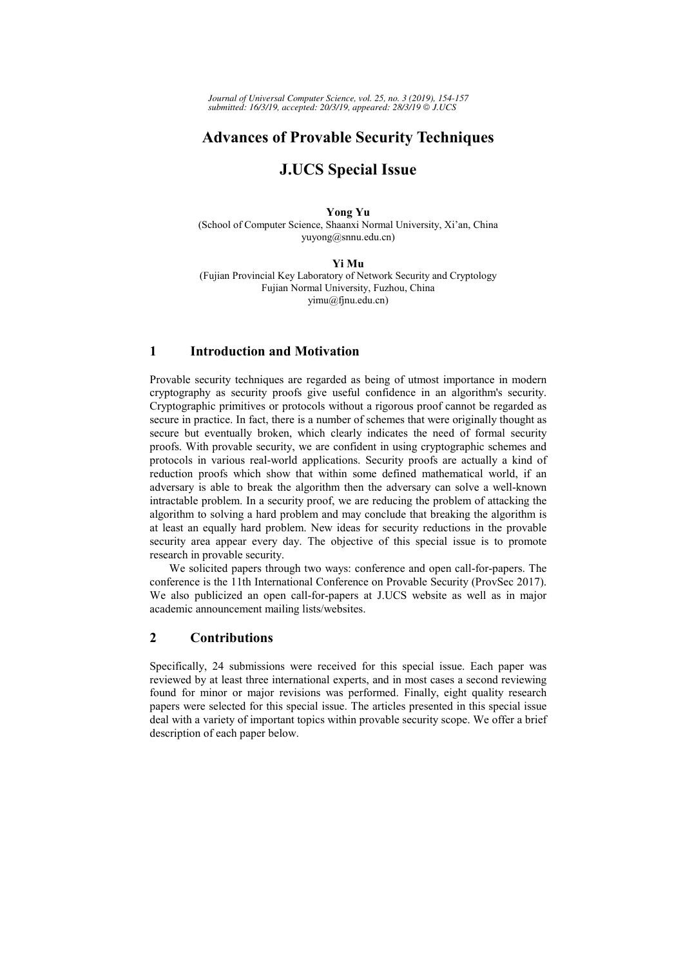*Journal of Universal Computer Science, vol. 25, no. 3 (2019), 154-157 submitted: 16/3/19, accepted: 20/3/19, appeared: 28/3/19 J.UCS*

# **Advances of Provable Security Techniques**

# **J.UCS Special Issue**

**Yong Yu**  (School of Computer Science, Shaanxi Normal University, Xi'an, China yuyong@snnu.edu.cn)

#### **Yi Mu**

(Fujian Provincial Key Laboratory of Network Security and Cryptology Fujian Normal University, Fuzhou, China yimu@fjnu.edu.cn)

### **1 Introduction and Motivation**

Provable security techniques are regarded as being of utmost importance in modern cryptography as security proofs give useful confidence in an algorithm's security. Cryptographic primitives or protocols without a rigorous proof cannot be regarded as secure in practice. In fact, there is a number of schemes that were originally thought as secure but eventually broken, which clearly indicates the need of formal security proofs. With provable security, we are confident in using cryptographic schemes and protocols in various real-world applications. Security proofs are actually a kind of reduction proofs which show that within some defined mathematical world, if an adversary is able to break the algorithm then the adversary can solve a well-known intractable problem. In a security proof, we are reducing the problem of attacking the algorithm to solving a hard problem and may conclude that breaking the algorithm is at least an equally hard problem. New ideas for security reductions in the provable security area appear every day. The objective of this special issue is to promote research in provable security.

We solicited papers through two ways: conference and open call-for-papers. The conference is the 11th International Conference on Provable Security (ProvSec 2017). We also publicized an open call-for-papers at J.UCS website as well as in major academic announcement mailing lists/websites.

### **2 Contributions**

Specifically, 24 submissions were received for this special issue. Each paper was reviewed by at least three international experts, and in most cases a second reviewing found for minor or major revisions was performed. Finally, eight quality research papers were selected for this special issue. The articles presented in this special issue deal with a variety of important topics within provable security scope. We offer a brief description of each paper below.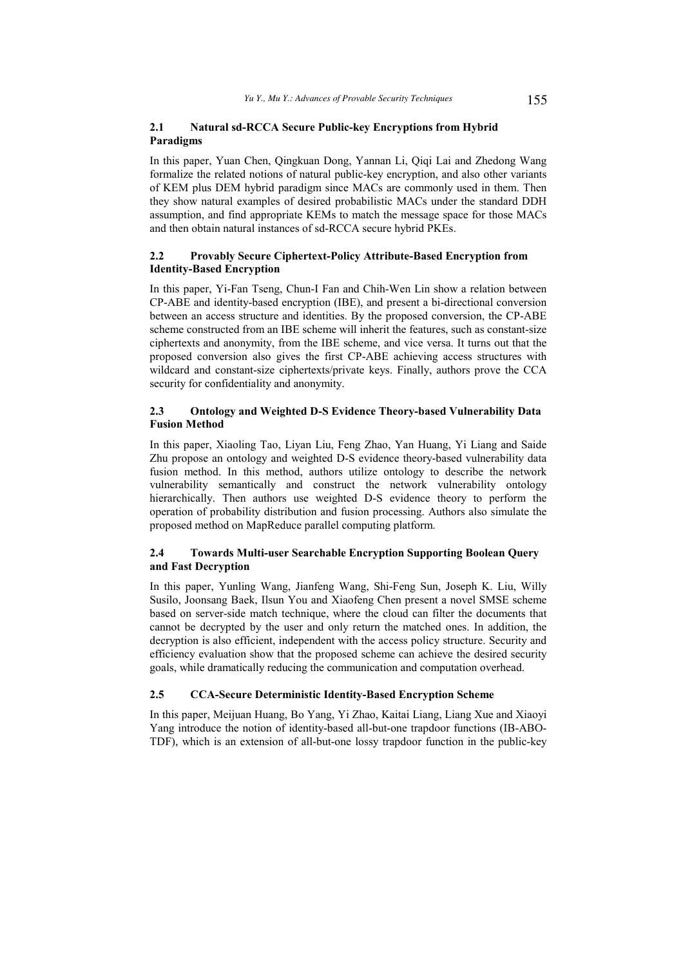#### **2.1 Natural sd-RCCA Secure Public-key Encryptions from Hybrid Paradigms**

In this paper, Yuan Chen, Qingkuan Dong, Yannan Li, Qiqi Lai and Zhedong Wang formalize the related notions of natural public-key encryption, and also other variants of KEM plus DEM hybrid paradigm since MACs are commonly used in them. Then they show natural examples of desired probabilistic MACs under the standard DDH assumption, and find appropriate KEMs to match the message space for those MACs and then obtain natural instances of sd-RCCA secure hybrid PKEs.

#### **2.2 Provably Secure Ciphertext-Policy Attribute-Based Encryption from Identity-Based Encryption**

In this paper, Yi-Fan Tseng, Chun-I Fan and Chih-Wen Lin show a relation between CP-ABE and identity-based encryption (IBE), and present a bi-directional conversion between an access structure and identities. By the proposed conversion, the CP-ABE scheme constructed from an IBE scheme will inherit the features, such as constant-size ciphertexts and anonymity, from the IBE scheme, and vice versa. It turns out that the proposed conversion also gives the first CP-ABE achieving access structures with wildcard and constant-size ciphertexts/private keys. Finally, authors prove the CCA security for confidentiality and anonymity.

### **2.3 Ontology and Weighted D-S Evidence Theory-based Vulnerability Data Fusion Method**

In this paper, Xiaoling Tao, Liyan Liu, Feng Zhao, Yan Huang, Yi Liang and Saide Zhu propose an ontology and weighted D-S evidence theory-based vulnerability data fusion method. In this method, authors utilize ontology to describe the network vulnerability semantically and construct the network vulnerability ontology hierarchically. Then authors use weighted D-S evidence theory to perform the operation of probability distribution and fusion processing. Authors also simulate the proposed method on MapReduce parallel computing platform.

#### **2.4 Towards Multi-user Searchable Encryption Supporting Boolean Query and Fast Decryption**

In this paper, Yunling Wang, Jianfeng Wang, Shi-Feng Sun, Joseph K. Liu, Willy Susilo, Joonsang Baek, Ilsun You and Xiaofeng Chen present a novel SMSE scheme based on server-side match technique, where the cloud can filter the documents that cannot be decrypted by the user and only return the matched ones. In addition, the decryption is also efficient, independent with the access policy structure. Security and efficiency evaluation show that the proposed scheme can achieve the desired security goals, while dramatically reducing the communication and computation overhead.

#### **2.5 CCA-Secure Deterministic Identity-Based Encryption Scheme**

In this paper, Meijuan Huang, Bo Yang, Yi Zhao, Kaitai Liang, Liang Xue and Xiaoyi Yang introduce the notion of identity-based all-but-one trapdoor functions (IB-ABO-TDF), which is an extension of all-but-one lossy trapdoor function in the public-key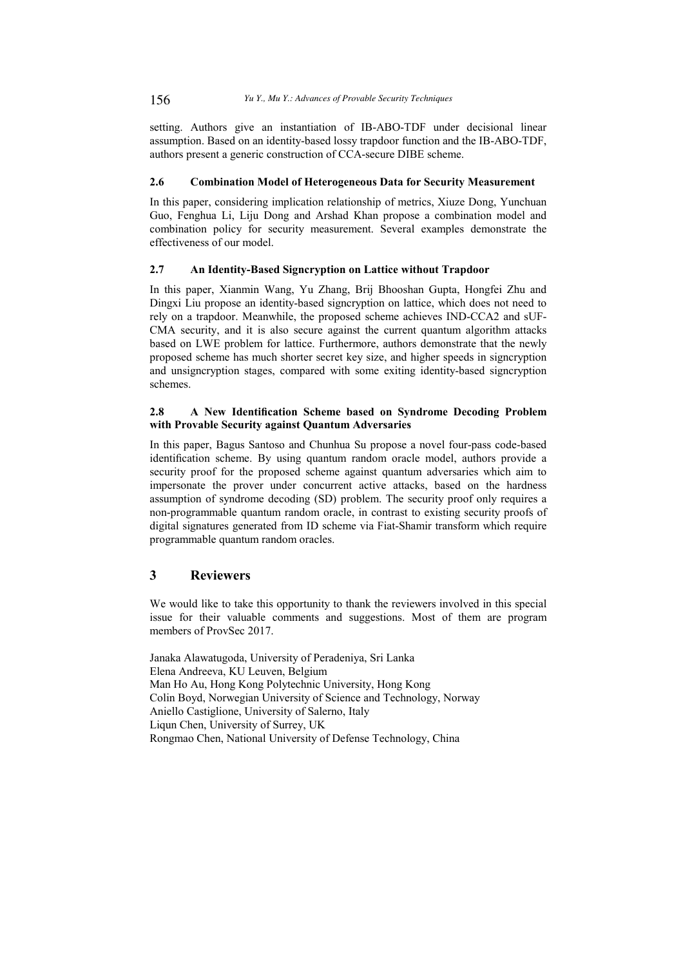setting. Authors give an instantiation of IB-ABO-TDF under decisional linear assumption. Based on an identity-based lossy trapdoor function and the IB-ABO-TDF, authors present a generic construction of CCA-secure DIBE scheme.

#### **2.6 Combination Model of Heterogeneous Data for Security Measurement**

In this paper, considering implication relationship of metrics, Xiuze Dong, Yunchuan Guo, Fenghua Li, Liju Dong and Arshad Khan propose a combination model and combination policy for security measurement. Several examples demonstrate the effectiveness of our model.

#### **2.7 An Identity-Based Signcryption on Lattice without Trapdoor**

In this paper, Xianmin Wang, Yu Zhang, Brij Bhooshan Gupta, Hongfei Zhu and Dingxi Liu propose an identity-based signcryption on lattice, which does not need to rely on a trapdoor. Meanwhile, the proposed scheme achieves IND-CCA2 and sUF-CMA security, and it is also secure against the current quantum algorithm attacks based on LWE problem for lattice. Furthermore, authors demonstrate that the newly proposed scheme has much shorter secret key size, and higher speeds in signcryption and unsigncryption stages, compared with some exiting identity-based signcryption schemes.

#### **2.8 A New Identification Scheme based on Syndrome Decoding Problem with Provable Security against Quantum Adversaries**

In this paper, Bagus Santoso and Chunhua Su propose a novel four-pass code-based identification scheme. By using quantum random oracle model, authors provide a security proof for the proposed scheme against quantum adversaries which aim to impersonate the prover under concurrent active attacks, based on the hardness assumption of syndrome decoding (SD) problem. The security proof only requires a non-programmable quantum random oracle, in contrast to existing security proofs of digital signatures generated from ID scheme via Fiat-Shamir transform which require programmable quantum random oracles.

## **3 Reviewers**

We would like to take this opportunity to thank the reviewers involved in this special issue for their valuable comments and suggestions. Most of them are program members of ProvSec 2017.

Janaka Alawatugoda, University of Peradeniya, Sri Lanka Elena Andreeva, KU Leuven, Belgium Man Ho Au, Hong Kong Polytechnic University, Hong Kong Colin Boyd, Norwegian University of Science and Technology, Norway Aniello Castiglione, University of Salerno, Italy Liqun Chen, University of Surrey, UK Rongmao Chen, National University of Defense Technology, China